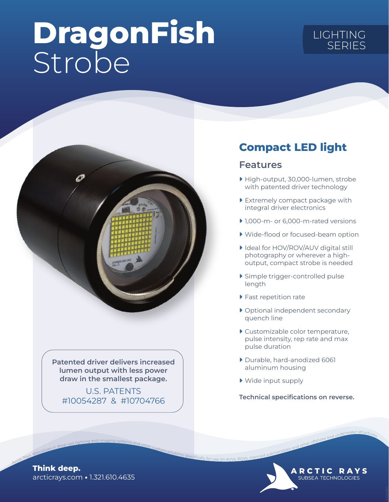# DragonFish Strobe

# LIGHTING SERIES



Patented driver delivers increased lumen output with less power draw in the smallest package.

U.S. PATENTS #10054287 & #10704766

### Compact LED light

#### Features

- ▶ High-output, 30,000-lumen, strobe with patented driver technology
- ▶ Extremely compact package with integral driver electronics
- ▶ 1,000-m- or 6,000-m-rated versions
- ▶ Wide-flood or focused-beam option
- ▶ Ideal for HOV/ROV/AUV digital still photography or wherever a highoutput, compact strobe is needed
- ▶ Simple trigger-controlled pulse length
- ▶ Fast repetition rate
- ▶ Optional independent secondary quench line
- ▶ Customizable color temperature, pulse intensity, rep rate and max pulse duration
- ▶ Durable, hard-anodized 6061 aluminum housing
- ▶ Wide input supply

Technical specifications on reverse.

Arctibles and other offshore and underwater structure and other custom specifically for use on AUVs, and underwater structures.

**ARCTIC RAYS** SUBSEA TECHNOLOGIES

arcticrays.com • 1.321.610.4635 Think deep.